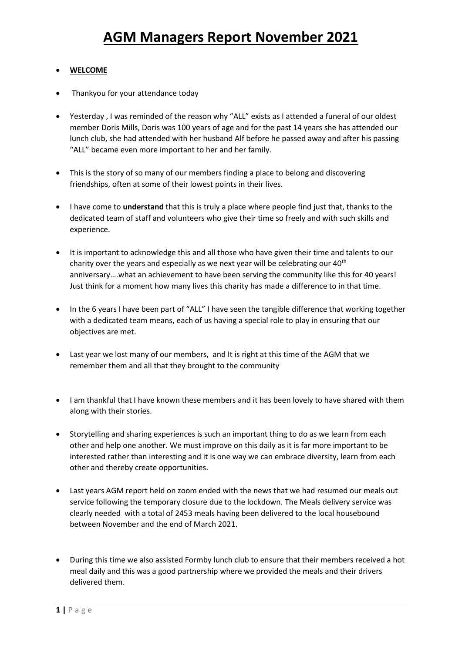## **WELCOME**

- Thankyou for your attendance today
- Yesterday , I was reminded of the reason why "ALL" exists as I attended a funeral of our oldest member Doris Mills, Doris was 100 years of age and for the past 14 years she has attended our lunch club, she had attended with her husband Alf before he passed away and after his passing "ALL" became even more important to her and her family.
- This is the story of so many of our members finding a place to belong and discovering friendships, often at some of their lowest points in their lives.
- I have come to **understand** that this is truly a place where people find just that, thanks to the dedicated team of staff and volunteers who give their time so freely and with such skills and experience.
- It is important to acknowledge this and all those who have given their time and talents to our charity over the years and especially as we next year will be celebrating our 40<sup>th</sup> anniversary….what an achievement to have been serving the community like this for 40 years! Just think for a moment how many lives this charity has made a difference to in that time.
- In the 6 years I have been part of "ALL" I have seen the tangible difference that working together with a dedicated team means, each of us having a special role to play in ensuring that our objectives are met.
- Last year we lost many of our members, and It is right at this time of the AGM that we remember them and all that they brought to the community
- I am thankful that I have known these members and it has been lovely to have shared with them along with their stories.
- Storytelling and sharing experiences is such an important thing to do as we learn from each other and help one another. We must improve on this daily as it is far more important to be interested rather than interesting and it is one way we can embrace diversity, learn from each other and thereby create opportunities.
- Last years AGM report held on zoom ended with the news that we had resumed our meals out service following the temporary closure due to the lockdown. The Meals delivery service was clearly needed with a total of 2453 meals having been delivered to the local housebound between November and the end of March 2021.
- During this time we also assisted Formby lunch club to ensure that their members received a hot meal daily and this was a good partnership where we provided the meals and their drivers delivered them.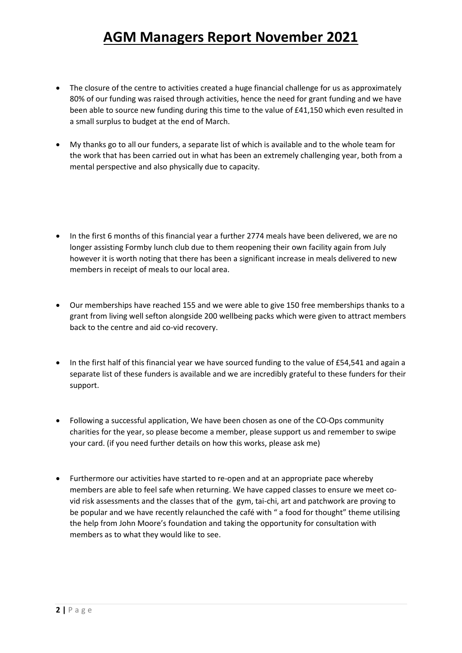## **AGM Managers Report November 2021**

- The closure of the centre to activities created a huge financial challenge for us as approximately 80% of our funding was raised through activities, hence the need for grant funding and we have been able to source new funding during this time to the value of £41,150 which even resulted in a small surplus to budget at the end of March.
- My thanks go to all our funders, a separate list of which is available and to the whole team for the work that has been carried out in what has been an extremely challenging year, both from a mental perspective and also physically due to capacity.
- In the first 6 months of this financial year a further 2774 meals have been delivered, we are no longer assisting Formby lunch club due to them reopening their own facility again from July however it is worth noting that there has been a significant increase in meals delivered to new members in receipt of meals to our local area.
- Our memberships have reached 155 and we were able to give 150 free memberships thanks to a grant from living well sefton alongside 200 wellbeing packs which were given to attract members back to the centre and aid co-vid recovery.
- In the first half of this financial year we have sourced funding to the value of £54,541 and again a separate list of these funders is available and we are incredibly grateful to these funders for their support.
- Following a successful application, We have been chosen as one of the CO-Ops community charities for the year, so please become a member, please support us and remember to swipe your card. (if you need further details on how this works, please ask me)
- Furthermore our activities have started to re-open and at an appropriate pace whereby members are able to feel safe when returning. We have capped classes to ensure we meet covid risk assessments and the classes that of the gym, tai-chi, art and patchwork are proving to be popular and we have recently relaunched the café with " a food for thought" theme utilising the help from John Moore's foundation and taking the opportunity for consultation with members as to what they would like to see.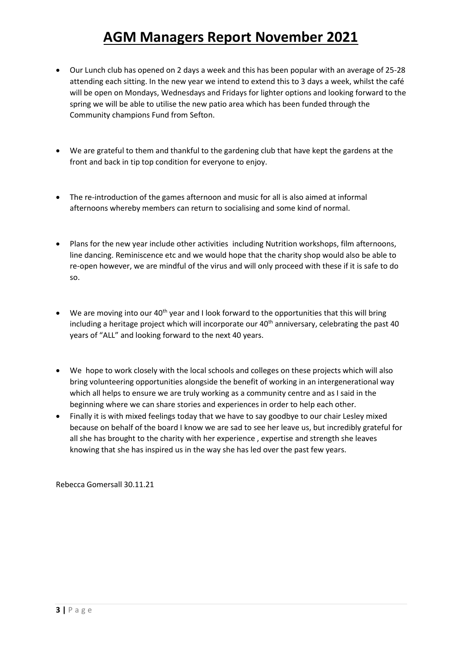## **AGM Managers Report November 2021**

- Our Lunch club has opened on 2 days a week and this has been popular with an average of 25-28 attending each sitting. In the new year we intend to extend this to 3 days a week, whilst the café will be open on Mondays, Wednesdays and Fridays for lighter options and looking forward to the spring we will be able to utilise the new patio area which has been funded through the Community champions Fund from Sefton.
- We are grateful to them and thankful to the gardening club that have kept the gardens at the front and back in tip top condition for everyone to enjoy.
- The re-introduction of the games afternoon and music for all is also aimed at informal afternoons whereby members can return to socialising and some kind of normal.
- Plans for the new year include other activities including Nutrition workshops, film afternoons, line dancing. Reminiscence etc and we would hope that the charity shop would also be able to re-open however, we are mindful of the virus and will only proceed with these if it is safe to do so.
- $\bullet$  We are moving into our 40<sup>th</sup> year and I look forward to the opportunities that this will bring including a heritage project which will incorporate our  $40<sup>th</sup>$  anniversary, celebrating the past 40 years of "ALL" and looking forward to the next 40 years.
- We hope to work closely with the local schools and colleges on these projects which will also bring volunteering opportunities alongside the benefit of working in an intergenerational way which all helps to ensure we are truly working as a community centre and as I said in the beginning where we can share stories and experiences in order to help each other.
- Finally it is with mixed feelings today that we have to say goodbye to our chair Lesley mixed because on behalf of the board I know we are sad to see her leave us, but incredibly grateful for all she has brought to the charity with her experience , expertise and strength she leaves knowing that she has inspired us in the way she has led over the past few years.

Rebecca Gomersall 30.11.21